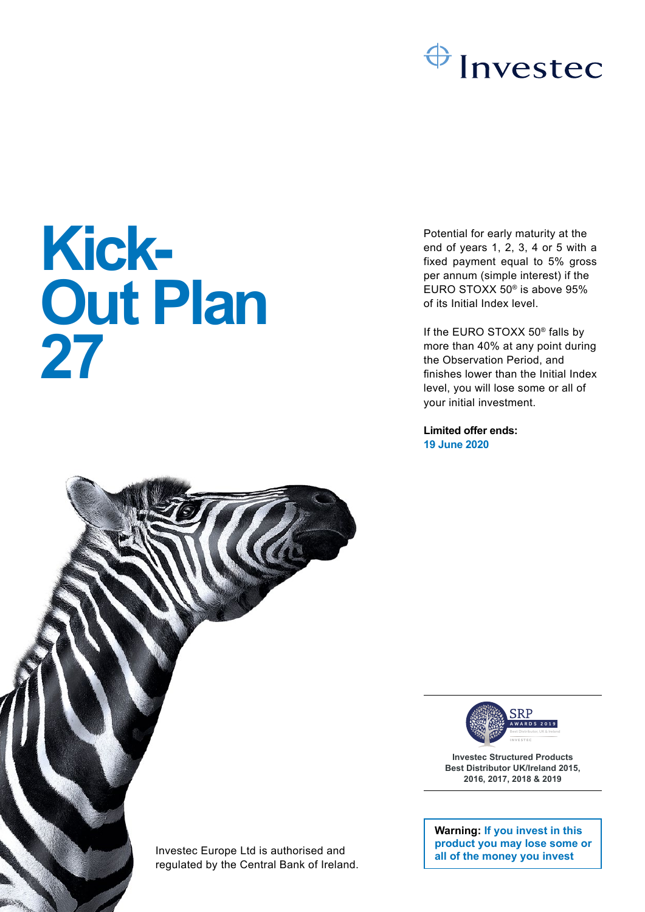

# **Kick-Out Plan 27**

Investec Europe Ltd is authorised and regulated by the Central Bank of Ireland. Potential for early maturity at the end of years 1, 2, 3, 4 or 5 with a fixed payment equal to 5% gross per annum (simple interest) if the EURO STOXX 50® is above 95% of its Initial Index level.

If the EURO STOXX 50® falls by more than 40% at any point during the Observation Period, and finishes lower than the Initial Index level, you will lose some or all of your initial investment.

**Limited offer ends: 19 June 2020**



**Investec Structured Products Best Distributor UK/Ireland 2015, 2016, 2017, 2018 & 2019**

**Warning: If you invest in this product you may lose some or all of the money you invest**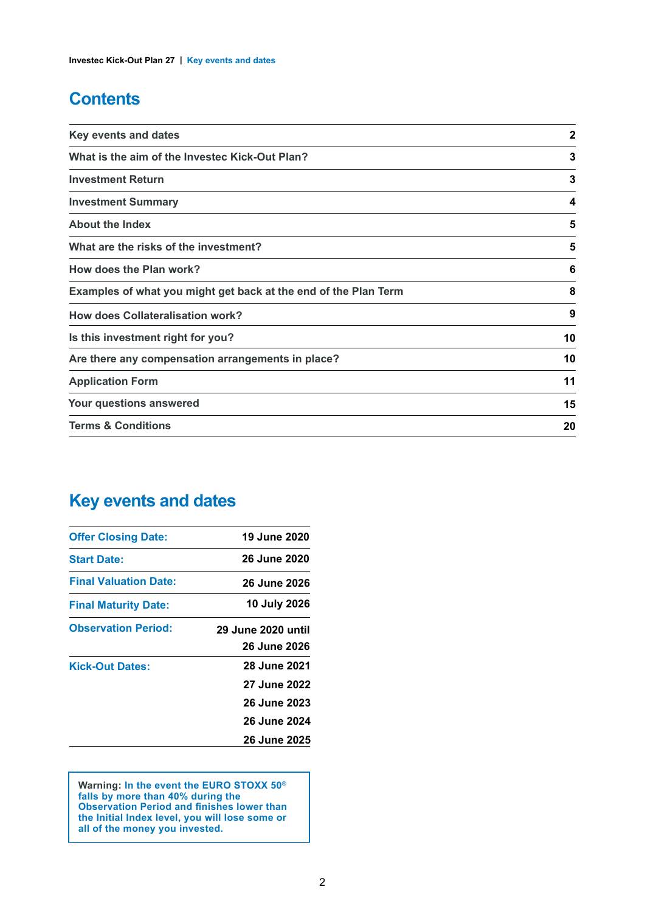## **Contents**

| <b>Key events and dates</b>                                     | $\overline{2}$ |
|-----------------------------------------------------------------|----------------|
| What is the aim of the Investec Kick-Out Plan?                  | 3              |
| <b>Investment Return</b>                                        | 3              |
| <b>Investment Summary</b>                                       | 4              |
| <b>About the Index</b>                                          | 5              |
| What are the risks of the investment?                           | 5              |
| How does the Plan work?                                         | 6              |
| Examples of what you might get back at the end of the Plan Term | 8              |
| <b>How does Collateralisation work?</b>                         | 9              |
| Is this investment right for you?                               | 10             |
| Are there any compensation arrangements in place?               | 10             |
| <b>Application Form</b>                                         | 11             |
| Your questions answered                                         | 15             |
| <b>Terms &amp; Conditions</b>                                   | 20             |

## **Key events and dates**

| <b>Offer Closing Date:</b>   | 19 June 2020        |
|------------------------------|---------------------|
| <b>Start Date:</b>           | <b>26 June 2020</b> |
| <b>Final Valuation Date:</b> | 26 June 2026        |
| <b>Final Maturity Date:</b>  | 10 July 2026        |
| <b>Observation Period:</b>   | 29 June 2020 until  |
|                              | 26 June 2026        |
| <b>Kick-Out Dates:</b>       | <b>28 June 2021</b> |
|                              | <b>27 June 2022</b> |
|                              | 26 June 2023        |
|                              | <b>26 June 2024</b> |
|                              | <b>26 June 2025</b> |

**Warning: In the event the EURO STOXX 50® falls by more than 40% during the Observation Period and finishes lower than the Initial Index level, you will lose some or all of the money you invested.**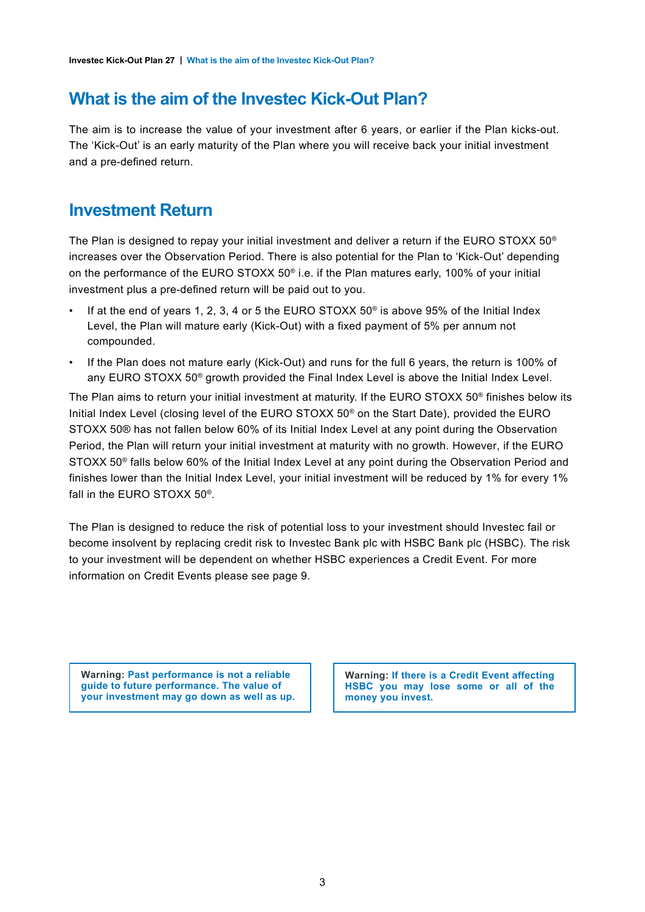## **What is the aim of the Investec Kick-Out Plan?**

The aim is to increase the value of your investment after 6 years, or earlier if the Plan kicks-out. The 'Kick-Out' is an early maturity of the Plan where you will receive back your initial investment and a pre-defined return.

## **Investment Return**

The Plan is designed to repay your initial investment and deliver a return if the EURO STOXX 50® increases over the Observation Period. There is also potential for the Plan to 'Kick-Out' depending on the performance of the EURO STOXX 50® i.e. if the Plan matures early, 100% of your initial investment plus a pre-defined return will be paid out to you.

- If at the end of years 1, 2, 3, 4 or 5 the EURO STOXX 50® is above 95% of the Initial Index Level, the Plan will mature early (Kick-Out) with a fixed payment of 5% per annum not compounded.
- If the Plan does not mature early (Kick-Out) and runs for the full 6 years, the return is 100% of any EURO STOXX 50® growth provided the Final Index Level is above the Initial Index Level.

The Plan aims to return your initial investment at maturity. If the EURO STOXX 50® finishes below its Initial Index Level (closing level of the EURO STOXX 50® on the Start Date), provided the EURO STOXX 50® has not fallen below 60% of its Initial Index Level at any point during the Observation Period, the Plan will return your initial investment at maturity with no growth. However, if the EURO STOXX 50<sup>®</sup> falls below 60% of the Initial Index Level at any point during the Observation Period and finishes lower than the Initial Index Level, your initial investment will be reduced by 1% for every 1% fall in the EURO STOXX 50® .

The Plan is designed to reduce the risk of potential loss to your investment should Investec fail or become insolvent by replacing credit risk to Investec Bank plc with HSBC Bank plc (HSBC). The risk to your investment will be dependent on whether HSBC experiences a Credit Event. For more information on Credit Events please see page 9.

**Warning: Past performance is not a reliable guide to future performance. The value of your investment may go down as well as up.**

**Warning: If there is a Credit Event affecting HSBC you may lose some or all of the money you invest.**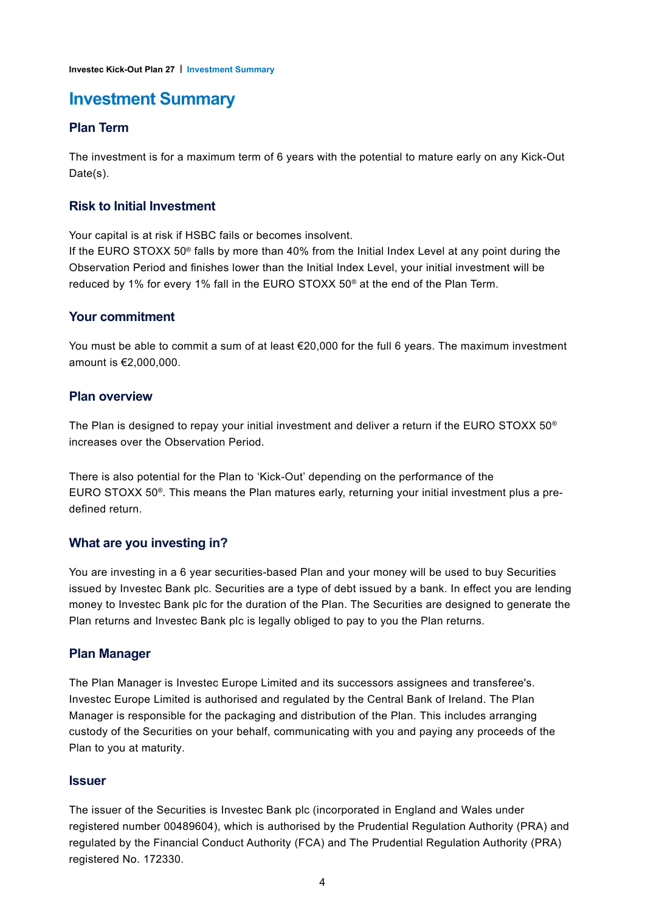## **Investment Summary**

#### **Plan Term**

The investment is for a maximum term of 6 years with the potential to mature early on any Kick-Out Date(s).

#### **Risk to Initial Investment**

Your capital is at risk if HSBC fails or becomes insolvent.

If the EURO STOXX 50<sup>®</sup> falls by more than 40% from the Initial Index Level at any point during the Observation Period and finishes lower than the Initial Index Level, your initial investment will be reduced by 1% for every 1% fall in the EURO STOXX 50® at the end of the Plan Term.

#### **Your commitment**

You must be able to commit a sum of at least  $\epsilon$ 20,000 for the full 6 years. The maximum investment amount is €2,000,000.

#### **Plan overview**

The Plan is designed to repay your initial investment and deliver a return if the EURO STOXX 50® increases over the Observation Period.

There is also potential for the Plan to 'Kick-Out' depending on the performance of the EURO STOXX 50® . This means the Plan matures early, returning your initial investment plus a predefined return.

#### **What are you investing in?**

You are investing in a 6 year securities-based Plan and your money will be used to buy Securities issued by Investec Bank plc. Securities are a type of debt issued by a bank. In effect you are lending money to Investec Bank plc for the duration of the Plan. The Securities are designed to generate the Plan returns and Investec Bank plc is legally obliged to pay to you the Plan returns.

#### **Plan Manager**

The Plan Manager is Investec Europe Limited and its successors assignees and transferee's. Investec Europe Limited is authorised and regulated by the Central Bank of Ireland. The Plan Manager is responsible for the packaging and distribution of the Plan. This includes arranging custody of the Securities on your behalf, communicating with you and paying any proceeds of the Plan to you at maturity.

#### **Issuer**

The issuer of the Securities is Investec Bank plc (incorporated in England and Wales under registered number 00489604), which is authorised by the Prudential Regulation Authority (PRA) and regulated by the Financial Conduct Authority (FCA) and The Prudential Regulation Authority (PRA) registered No. 172330.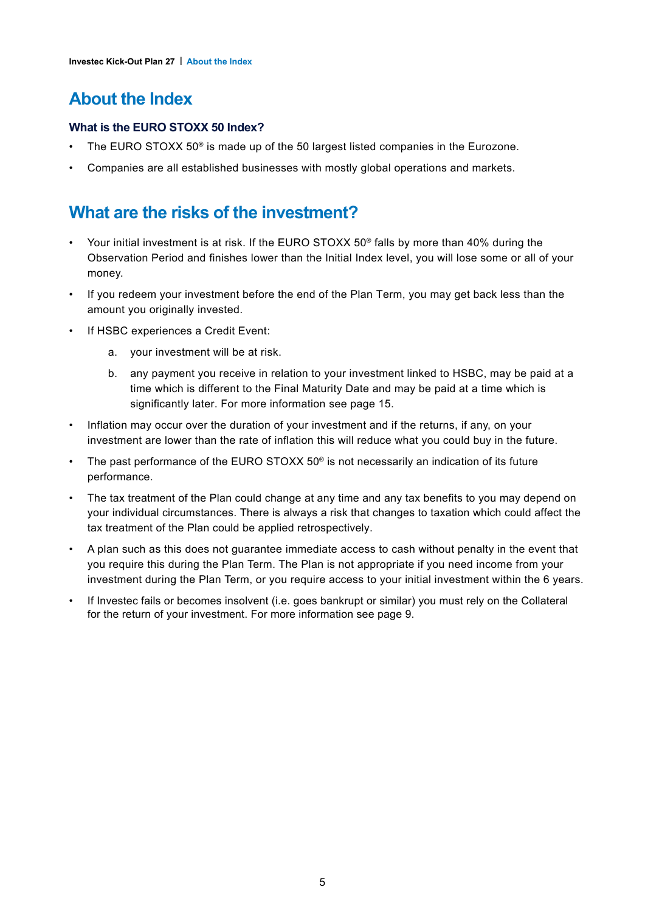## **About the Index**

#### **What is the EURO STOXX 50 Index?**

- The EURO STOXX 50<sup>®</sup> is made up of the 50 largest listed companies in the Eurozone.
- Companies are all established businesses with mostly global operations and markets.

## **What are the risks of the investment?**

- Your initial investment is at risk. If the EURO STOXX 50® falls by more than 40% during the Observation Period and finishes lower than the Initial Index level, you will lose some or all of your money.
- If you redeem your investment before the end of the Plan Term, you may get back less than the amount you originally invested.
- If HSBC experiences a Credit Event:
	- a. your investment will be at risk.
	- b. any payment you receive in relation to your investment linked to HSBC, may be paid at a time which is different to the Final Maturity Date and may be paid at a time which is significantly later. For more information see page 15.
- Inflation may occur over the duration of your investment and if the returns, if any, on your investment are lower than the rate of inflation this will reduce what you could buy in the future.
- The past performance of the EURO STOXX 50® is not necessarily an indication of its future performance.
- The tax treatment of the Plan could change at any time and any tax benefits to you may depend on your individual circumstances. There is always a risk that changes to taxation which could affect the tax treatment of the Plan could be applied retrospectively.
- A plan such as this does not guarantee immediate access to cash without penalty in the event that you require this during the Plan Term. The Plan is not appropriate if you need income from your investment during the Plan Term, or you require access to your initial investment within the 6 years.
- If Investec fails or becomes insolvent (i.e. goes bankrupt or similar) you must rely on the Collateral for the return of your investment. For more information see page 9.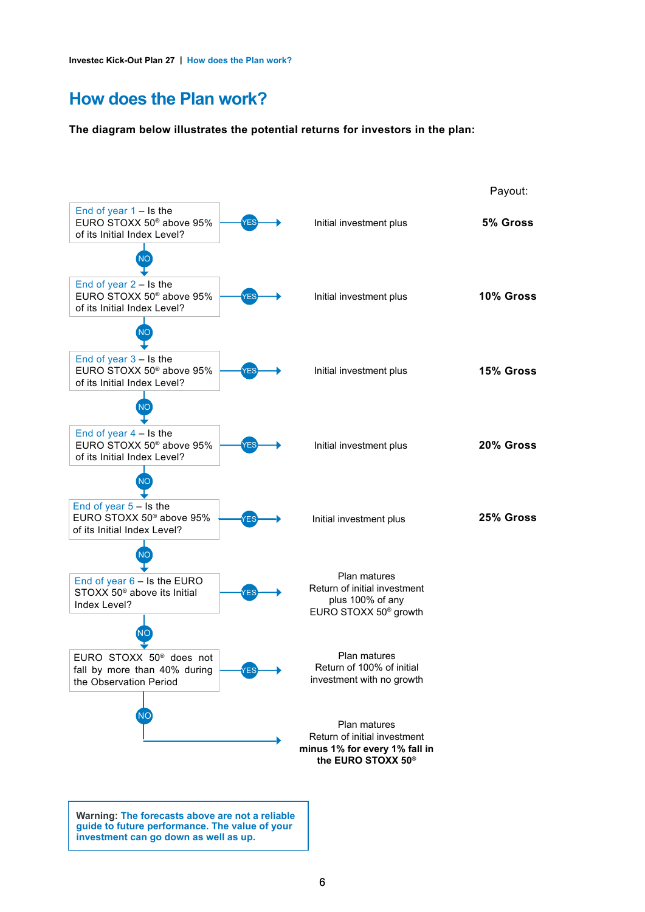## **How does the Plan work?**

**The diagram below illustrates the potential returns for investors in the plan:**

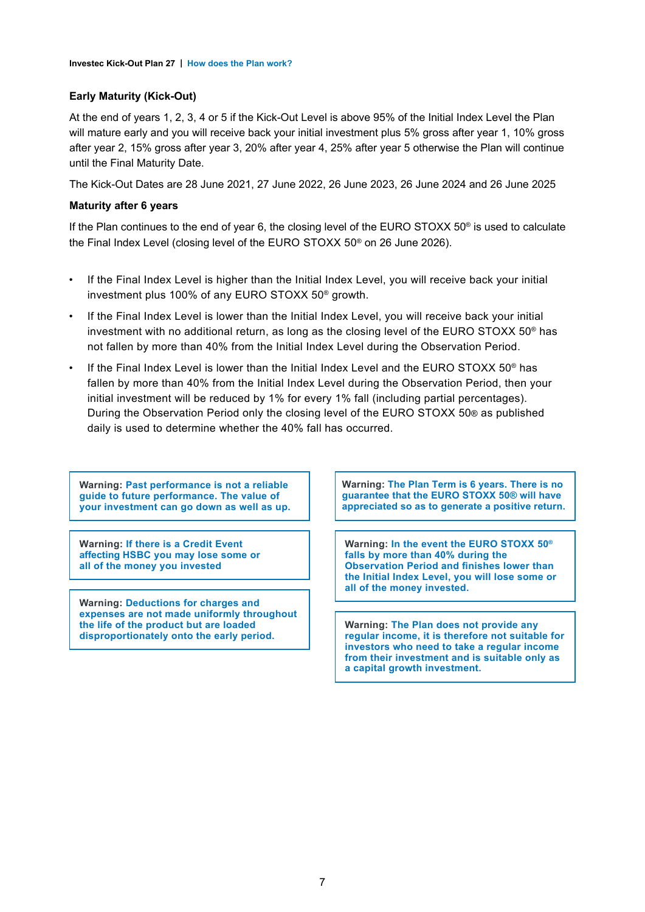#### **Early Maturity (Kick-Out)**

At the end of years 1, 2, 3, 4 or 5 if the Kick-Out Level is above 95% of the Initial Index Level the Plan will mature early and you will receive back your initial investment plus 5% gross after year 1, 10% gross after year 2, 15% gross after year 3, 20% after year 4, 25% after year 5 otherwise the Plan will continue until the Final Maturity Date.

The Kick-Out Dates are 28 June 2021, 27 June 2022, 26 June 2023, 26 June 2024 and 26 June 2025

#### **Maturity after 6 years**

If the Plan continues to the end of year 6, the closing level of the EURO STOXX 50® is used to calculate the Final Index Level (closing level of the EURO STOXX 50® on 26 June 2026).

- If the Final Index Level is higher than the Initial Index Level, you will receive back your initial investment plus 100% of any EURO STOXX 50® growth.
- If the Final Index Level is lower than the Initial Index Level, you will receive back your initial investment with no additional return, as long as the closing level of the EURO STOXX 50® has not fallen by more than 40% from the Initial Index Level during the Observation Period.
- If the Final Index Level is lower than the Initial Index Level and the EURO STOXX  $50^{\circ}$  has fallen by more than 40% from the Initial Index Level during the Observation Period, then your initial investment will be reduced by 1% for every 1% fall (including partial percentages). During the Observation Period only the closing level of the EURO STOXX 50® as published daily is used to determine whether the 40% fall has occurred.

**Warning: Past performance is not a reliable guide to future performance. The value of your investment can go down as well as up.**

**Warning: If there is a Credit Event affecting HSBC you may lose some or all of the money you invested**

**Warning: Deductions for charges and expenses are not made uniformly throughout the life of the product but are loaded disproportionately onto the early period.**

**Warning: The Plan Term is 6 years. There is no guarantee that the EURO STOXX 50® will have appreciated so as to generate a positive return.**

**Warning: In the event the EURO STOXX 50® falls by more than 40% during the Observation Period and finishes lower than the Initial Index Level, you will lose some or all of the money invested.**

**Warning: The Plan does not provide any regular income, it is therefore not suitable for investors who need to take a regular income from their investment and is suitable only as a capital growth investment.**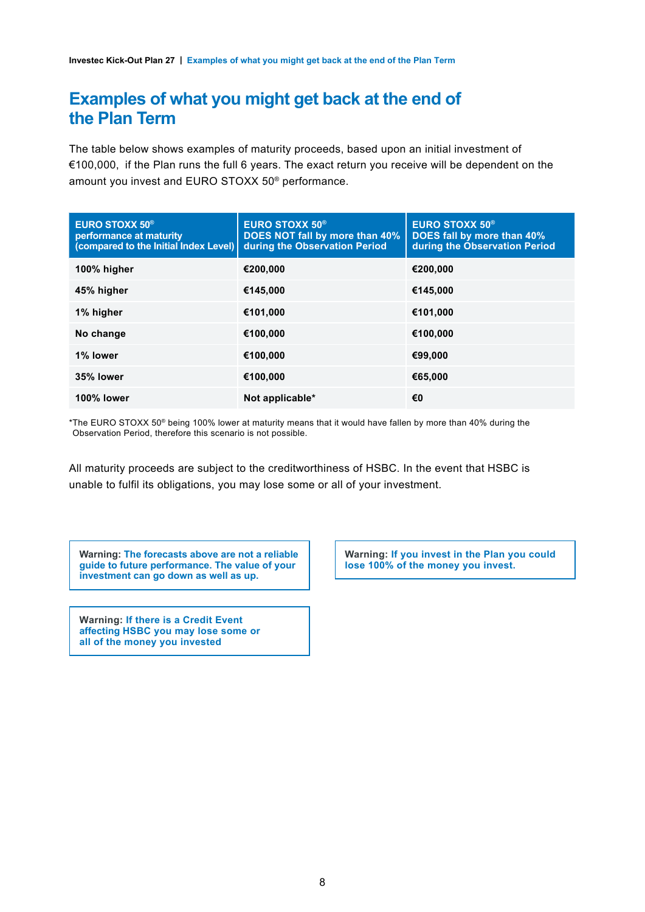## **Examples of what you might get back at the end of the Plan Term**

The table below shows examples of maturity proceeds, based upon an initial investment of €100,000, if the Plan runs the full 6 years. The exact return you receive will be dependent on the amount you invest and EURO STOXX 50® performance.

| <b>EURO STOXX 50<sup>®</sup></b><br>performance at maturity<br>(compared to the Initial Index Level) | <b>EURO STOXX 50<sup>®</sup></b><br>DOES NOT fall by more than 40%<br>during the Observation Period | <b>EURO STOXX 50<sup>®</sup></b><br>DOES fall by more than 40%<br>during the Observation Period |
|------------------------------------------------------------------------------------------------------|-----------------------------------------------------------------------------------------------------|-------------------------------------------------------------------------------------------------|
| 100% higher                                                                                          | €200,000                                                                                            | €200,000                                                                                        |
| 45% higher                                                                                           | €145,000                                                                                            | €145,000                                                                                        |
| 1% higher                                                                                            | €101,000                                                                                            | €101.000                                                                                        |
| No change                                                                                            | €100,000                                                                                            | €100,000                                                                                        |
| 1% lower                                                                                             | €100,000                                                                                            | €99,000                                                                                         |
| 35% lower                                                                                            | €100,000                                                                                            | €65,000                                                                                         |
| 100% lower                                                                                           | Not applicable*                                                                                     | €0                                                                                              |

\*The EURO STOXX 50® being 100% lower at maturity means that it would have fallen by more than 40% during the Observation Period, therefore this scenario is not possible.

All maturity proceeds are subject to the creditworthiness of HSBC. In the event that HSBC is unable to fulfil its obligations, you may lose some or all of your investment.

**Warning: The forecasts above are not a reliable guide to future performance. The value of your investment can go down as well as up.**

**Warning: If there is a Credit Event affecting HSBC you may lose some or all of the money you invested**

**Warning: If you invest in the Plan you could lose 100% of the money you invest.**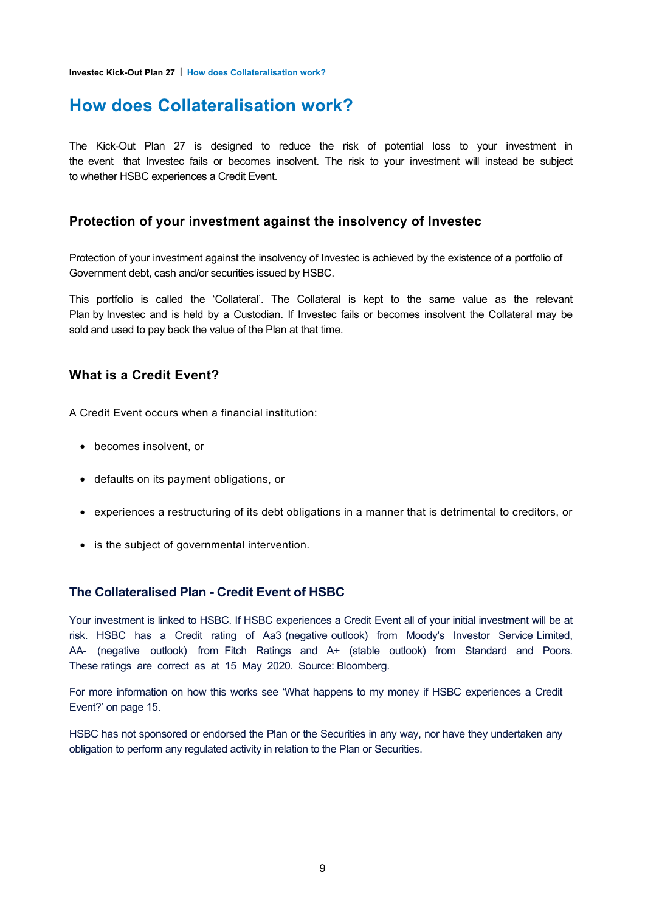**Investec Kick-Out Plan 27 | How does Collateralisation work?**

## **How does Collateralisation work?**

The Kick-Out Plan 27 is designed to reduce the risk of potential loss to your investment in the event that Investec fails or becomes insolvent. The risk to your investment will instead be subject to whether HSBC experiences a Credit Event.

#### **Protection of your investment against the insolvency of Investec**

Protection of your investment against the insolvency of Investec is achieved by the existence of a portfolio of Government debt, cash and/or securities issued by HSBC.

This portfolio is called the 'Collateral'. The Collateral is kept to the same value as the relevant Plan by Investec and is held by a Custodian. If Investec fails or becomes insolvent the Collateral may be sold and used to pay back the value of the Plan at that time.

#### **What is a Credit Event?**

A Credit Event occurs when a financial institution:

- becomes insolvent, or
- defaults on its payment obligations, or
- experiences a restructuring of its debt obligations in a manner that is detrimental to creditors, or
- is the subject of governmental intervention.

#### **The Collateralised Plan - Credit Event of HSBC**

Your investment is linked to HSBC. If HSBC experiences a Credit Event all of your initial investment will be at risk. HSBC has a Credit rating of Aa3 (negative outlook) from Moody's Investor Service Limited, AA- (negative outlook) from Fitch Ratings and A+ (stable outlook) from Standard and Poors. These ratings are correct as at 15 May 2020. Source: Bloomberg.

For more information on how this works see 'What happens to my money if HSBC experiences a Credit Event?' on page 15.

HSBC has not sponsored or endorsed the Plan or the Securities in any way, nor have they undertaken any obligation to perform any regulated activity in relation to the Plan or Securities.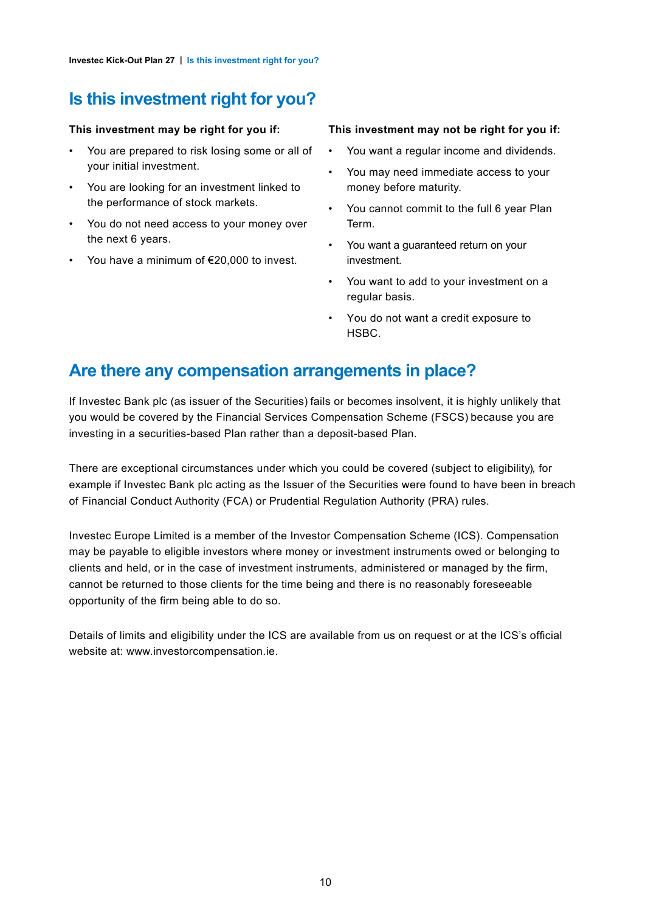## **Is this investment right for you?**

#### **This investment may be right for you if:**

- You are prepared to risk losing some or all of your initial investment.
- You are looking for an investment linked to the performance of stock markets.
- You do not need access to your money over the next 6 years.
- You have a minimum of €20,000 to invest.

#### **This investment may not be right for you if:**

- You want a regular income and dividends.
- You may need immediate access to your money before maturity.
- You cannot commit to the full 6 year Plan Term.
- You want a guaranteed return on your investment.
- You want to add to your investment on a regular basis.
- You do not want a credit exposure to HSBC.

## **Are there any compensation arrangements in place?**

If Investec Bank plc (as issuer of the Securities) fails or becomes insolvent, it is highly unlikely that you would be covered by the Financial Services Compensation Scheme (FSCS) because you are investing in a securities-based Plan rather than a deposit-based Plan.

There are exceptional circumstances under which you could be covered (subject to eligibility), for example if Investec Bank plc acting as the Issuer of the Securities were found to have been in breach of Financial Conduct Authority (FCA) or Prudential Regulation Authority (PRA) rules.

Investec Europe Limited is a member of the Investor Compensation Scheme (ICS). Compensation may be payable to eligible investors where money or investment instruments owed or belonging to clients and held, or in the case of investment instruments, administered or managed by the firm, cannot be returned to those clients for the time being and there is no reasonably foreseeable opportunity of the firm being able to do so.

Details of limits and eligibility under the ICS are available from us on request or at the ICS's official website at: www.investorcompensation.ie.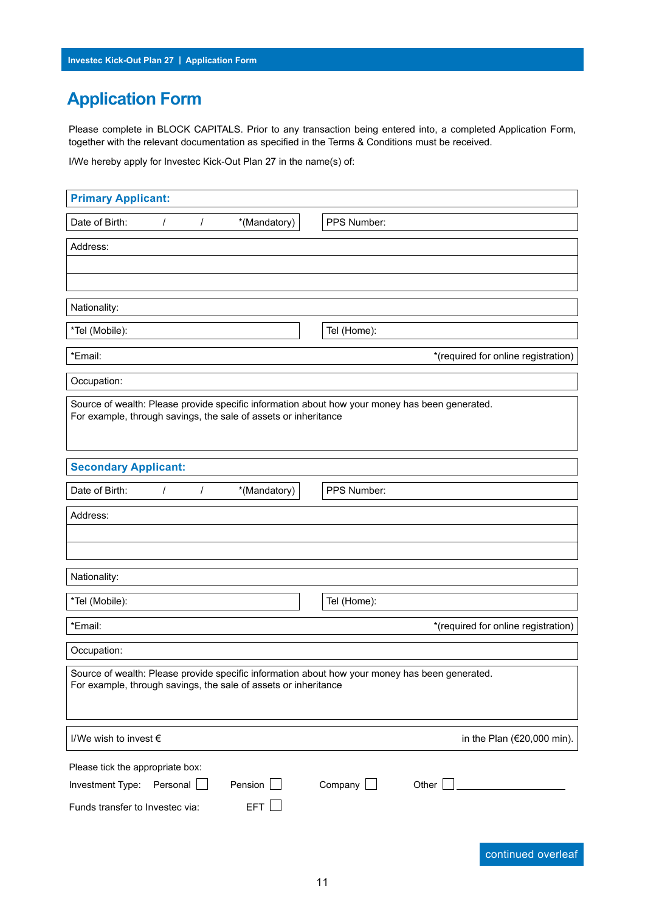## **Application Form**

Please complete in BLOCK CAPITALS. Prior to any transaction being entered into, a completed Application Form, together with the relevant documentation as specified in the Terms & Conditions must be received.

I/We hereby apply for Investec Kick-Out Plan 27 in the name(s) of:

| <b>Primary Applicant:</b>                                                                                                                                         |                                     |
|-------------------------------------------------------------------------------------------------------------------------------------------------------------------|-------------------------------------|
| *(Mandatory)<br>Date of Birth:<br>$\prime$<br>$\prime$                                                                                                            | PPS Number:                         |
| Address:                                                                                                                                                          |                                     |
|                                                                                                                                                                   |                                     |
|                                                                                                                                                                   |                                     |
| Nationality:                                                                                                                                                      |                                     |
| *Tel (Mobile):                                                                                                                                                    | Tel (Home):                         |
| *Email:                                                                                                                                                           | *(required for online registration) |
| Occupation:                                                                                                                                                       |                                     |
| Source of wealth: Please provide specific information about how your money has been generated.<br>For example, through savings, the sale of assets or inheritance |                                     |
| <b>Secondary Applicant:</b>                                                                                                                                       |                                     |
| Date of Birth:<br>*(Mandatory)<br>$\prime$<br>$\prime$                                                                                                            | PPS Number:                         |
| Address:                                                                                                                                                          |                                     |
| Nationality:                                                                                                                                                      |                                     |
| *Tel (Mobile):                                                                                                                                                    | Tel (Home):                         |
| *Email:                                                                                                                                                           | *(required for online registration) |
| Occupation:                                                                                                                                                       |                                     |
| Source of wealth: Please provide specific information about how your money has been generated.<br>For example, through savings, the sale of assets or inheritance |                                     |
| I/We wish to invest €                                                                                                                                             | in the Plan (€20,000 min).          |
| Please tick the appropriate box:<br>Pension<br>Investment Type:<br>Personal<br><b>EFT</b><br>Funds transfer to Investec via:                                      | Company<br>Other                    |

continued overleaf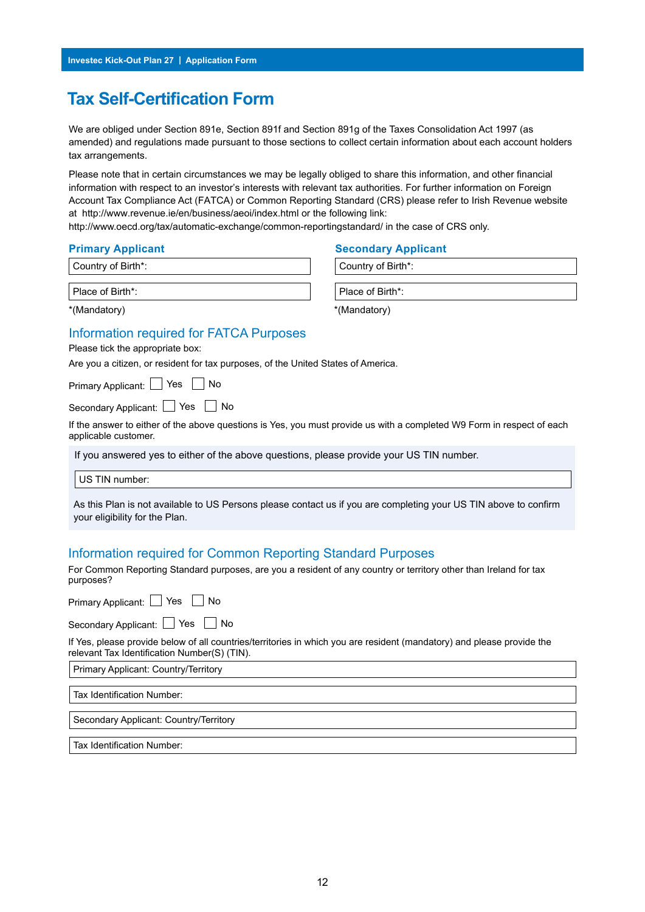## **Tax Self-Certification Form**

We are obliged under Section 891e, Section 891f and Section 891g of the Taxes Consolidation Act 1997 (as amended) and regulations made pursuant to those sections to collect certain information about each account holders tax arrangements.

Please note that in certain circumstances we may be legally obliged to share this information, and other financial information with respect to an investor's interests with relevant tax authorities. For further information on Foreign Account Tax Compliance Act (FATCA) or Common Reporting Standard (CRS) please refer to Irish Revenue website at http://www.revenue.ie/en/business/aeoi/index.html or the following link:

http://www.oecd.org/tax/automatic-exchange/common-reportingstandard/ in the case of CRS only.

Country of Birth\*: Country of Birth\*:

#### Information required for FATCA Purposes

Please tick the appropriate box:

Are you a citizen, or resident for tax purposes, of the United States of America.

Primary Applicant:  $\Box$  Yes  $\Box$  No

Secondary Applicant: Yes No

If the answer to either of the above questions is Yes, you must provide us with a completed W9 Form in respect of each applicable customer.

If you answered yes to either of the above questions, please provide your US TIN number.

US TIN number:

 As this Plan is not available to US Persons please contact us if you are completing your US TIN above to confirm your eligibility for the Plan.

#### Information required for Common Reporting Standard Purposes

For Common Reporting Standard purposes, are you a resident of any country or territory other than Ireland for tax purposes?

Primary Applicant: Yes No

Secondary Applicant: Yes No

If Yes, please provide below of all countries/territories in which you are resident (mandatory) and please provide the relevant Tax Identification Number(S) (TIN).

Primary Applicant: Country/Territory

Tax Identification Number:

Secondary Applicant: Country/Territory

Tax Identification Number:

#### **Primary Applicant Secondary Applicant**

Place of Birth\*: Place of Birth\*:

\*(Mandatory) \*(Mandatory)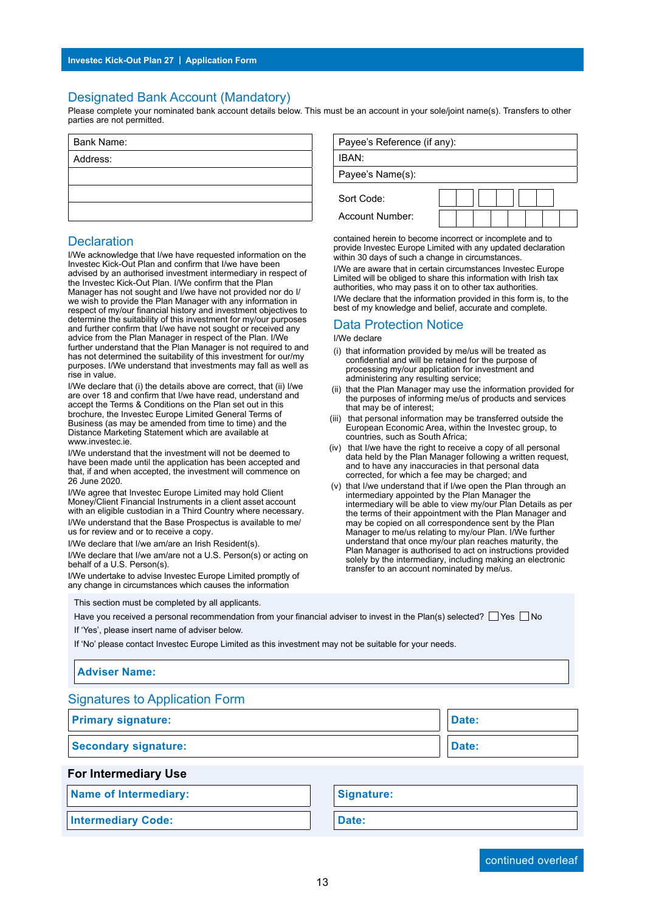#### Designated Bank Account (Mandatory)

Please complete your nominated bank account details below. This must be an account in your sole/joint name(s). Transfers to other parties are not permitted.

| Bank Name: |  |  |
|------------|--|--|
| Address:   |  |  |
|            |  |  |
|            |  |  |
|            |  |  |

#### **Declaration**

I/We acknowledge that I/we have requested information on the Investec Kick-Out Plan and confirm that I/we have been advised by an authorised investment intermediary in respect of the Investec Kick-Out Plan. I/We confirm that the Plan Manager has not sought and I/we have not provided nor do I/ we wish to provide the Plan Manager with any information in respect of my/our financial history and investment objectives to determine the suitability of this investment for my/our purposes and further confirm that I/we have not sought or received any advice from the Plan Manager in respect of the Plan. I/We further understand that the Plan Manager is not required to and has not determined the suitability of this investment for our/my purposes. I/We understand that investments may fall as well as rise in value.

I/We declare that (i) the details above are correct, that (ii) I/we are over 18 and confirm that I/we have read, understand and accept the Terms & Conditions on the Plan set out in this brochure, the Investec Europe Limited General Terms of Business (as may be amended from time to time) and the Distance Marketing Statement which are available at www.investec.ie.

I/We understand that the investment will not be deemed to have been made until the application has been accepted and that, if and when accepted, the investment will commence on 26 June 2020.

I/We agree that Investec Europe Limited may hold Client Money/Client Financial Instruments in a client asset account with an eligible custodian in a Third Country where necessary. I/We understand that the Base Prospectus is available to me/ us for review and or to receive a copy.

I/We declare that I/we am/are an Irish Resident(s). I/We declare that I/we am/are not a U.S. Person(s) or acting on

behalf of a U.S. Person(s). I/We undertake to advise Investec Europe Limited promptly of any change in circumstances which causes the information

This section must be completed by all applicants.

Have you received a personal recommendation from your financial adviser to invest in the Plan(s) selected?  $\Box$  Yes  $\Box$  No

If 'Yes', please insert name of adviser below.

If 'No' please contact Investec Europe Limited as this investment may not be suitable for your needs.

#### **Adviser Name:**

Signatures to Application Form

| <b>Primary signature:</b>   | Date: |
|-----------------------------|-------|
| <b>Secondary signature:</b> | Date: |

#### **For Intermediary Use**

**Name of Intermediary: Signature:** 

**Intermediary Code: Date: Date:** 

| Payee's Reference (if any): |  |
|-----------------------------|--|
|                             |  |
| IBAN:                       |  |
| Payee's Name(s):            |  |
| Sort Code:                  |  |
| Account Number:             |  |

contained herein to become incorrect or incomplete and to provide Investec Europe Limited with any updated declaration within 30 days of such a change in circumstances.

I/We are aware that in certain circumstances Investec Europe Limited will be obliged to share this information with Irish tax authorities, who may pass it on to other tax authorities. I/We declare that the information provided in this form is, to the best of my knowledge and belief, accurate and complete.

## Data Protection Notice

I/We declare

- (i) that information provided by me/us will be treated as confidential and will be retained for the purpose of processing my/our application for investment and administering any resulting service;
- (ii) that the Plan Manager may use the information provided for the purposes of informing me/us of products and services that may be of interest;
- (iii) that personal information may be transferred outside the European Economic Area, within the Investec group, to countries, such as South Africa;
- (iv) that I/we have the right to receive a copy of all personal data held by the Plan Manager following a written request, and to have any inaccuracies in that personal data corrected, for which a fee may be charged; and
- (v) that I/we understand that if I/we open the Plan through an intermediary appointed by the Plan Manager the intermediary will be able to view my/our Plan Details as per the terms of their appointment with the Plan Manager and may be copied on all correspondence sent by the Plan Manager to me/us relating to my/our Plan. I/We further understand that once my/our plan reaches maturity, the Plan Manager is authorised to act on instructions provided solely by the intermediary, including making an electronic transfer to an account nominated by me/us.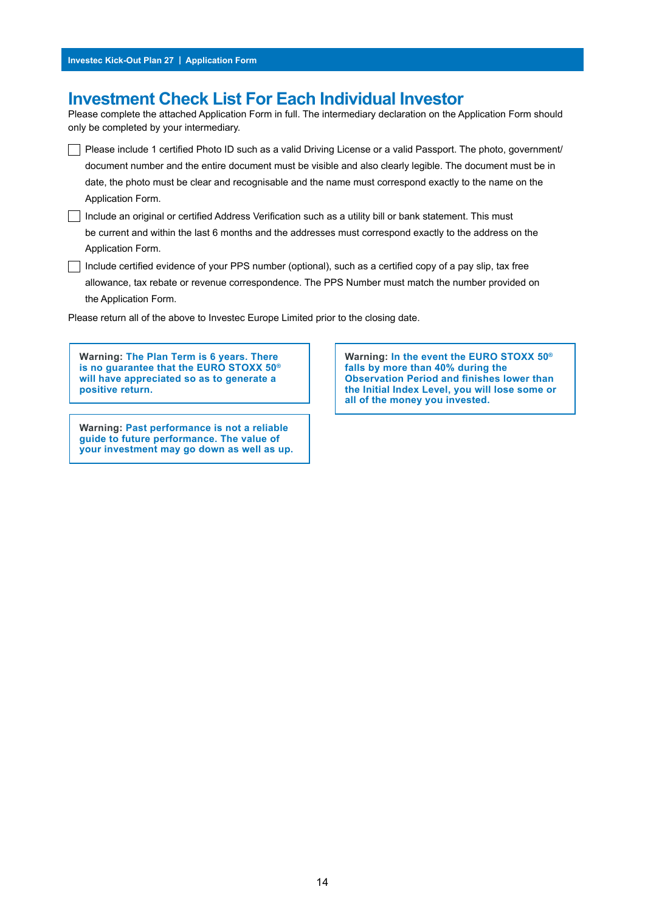### **Investment Check List For Each Individual Investor**

Please complete the attached Application Form in full. The intermediary declaration on the Application Form should only be completed by your intermediary.

Please include 1 certified Photo ID such as a valid Driving License or a valid Passport. The photo, government/ document number and the entire document must be visible and also clearly legible. The document must be in date, the photo must be clear and recognisable and the name must correspond exactly to the name on the Application Form.

Include an original or certified Address Verification such as a utility bill or bank statement. This must be current and within the last 6 months and the addresses must correspond exactly to the address on the Application Form.

 $\Box$  Include certified evidence of your PPS number (optional), such as a certified copy of a pay slip, tax free allowance, tax rebate or revenue correspondence. The PPS Number must match the number provided on the Application Form.

Please return all of the above to Investec Europe Limited prior to the closing date.

**Warning: The Plan Term is 6 years. There is no guarantee that the EURO STOXX 50® will have appreciated so as to generate a positive return.**

**Warning: Past performance is not a reliable guide to future performance. The value of your investment may go down as well as up.** **Warning: In the event the EURO STOXX 50® falls by more than 40% during the Observation Period and finishes lower than the Initial Index Level, you will lose some or all of the money you invested.**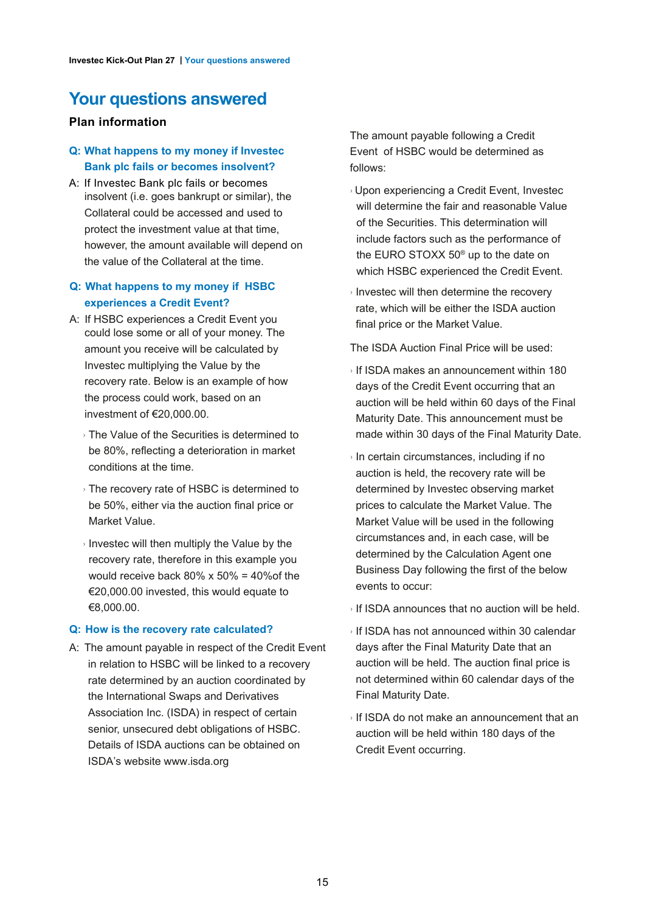## **Your questions answered**

#### **Plan information**

#### **Q: What happens to my money if Investec Bank plc fails or becomes insolvent?**

A: If Investec Bank plc fails or becomes insolvent (i.e. goes bankrupt or similar), the Collateral could be accessed and used to protect the investment value at that time, however, the amount available will depend on the value of the Collateral at the time.

#### **Q: What happens to my money if HSBC experiences a Credit Event?**

- A: If HSBC experiences a Credit Event you could lose some or all of your money. The amount you receive will be calculated by Investec multiplying the Value by the recovery rate. Below is an example of how the process could work, based on an investment of €20,000.00.
	- › The Value of the Securities is determined to be 80%, reflecting a deterioration in market conditions at the time.
	- › The recovery rate of HSBC is determined to be 50%, either via the auction final price or Market Value.
	- $\rightarrow$  Investec will then multiply the Value by the recovery rate, therefore in this example you would receive back  $80\% \times 50\% = 40\%$  of the €20,000.00 invested, this would equate to €8,000.00.

#### **Q: How is the recovery rate calculated?**

A: The amount payable in respect of the Credit Event in relation to HSBC will be linked to a recovery rate determined by an auction coordinated by the International Swaps and Derivatives Association Inc. (ISDA) in respect of certain senior, unsecured debt obligations of HSBC. Details of ISDA auctions can be obtained on ISDA's website www.isda.org

The amount payable following a Credit Event of HSBC would be determined as follows:

- › Upon experiencing a Credit Event, Investec will determine the fair and reasonable Value of the Securities. This determination will include factors such as the performance of the EURO STOXX 50® up to the date on which HSBC experienced the Credit Event.
- › Investec will then determine the recovery rate, which will be either the ISDA auction final price or the Market Value.

The ISDA Auction Final Price will be used:

- › If ISDA makes an announcement within 180 days of the Credit Event occurring that an auction will be held within 60 days of the Final Maturity Date. This announcement must be made within 30 days of the Final Maturity Date.
- › In certain circumstances, including if no auction is held, the recovery rate will be determined by Investec observing market prices to calculate the Market Value. The Market Value will be used in the following circumstances and, in each case, will be determined by the Calculation Agent one Business Day following the first of the below events to occur:
- $\rightarrow$  If ISDA announces that no auction will be held.
- › If ISDA has not announced within 30 calendar days after the Final Maturity Date that an auction will be held. The auction final price is not determined within 60 calendar days of the Final Maturity Date.
- › If ISDA do not make an announcement that an auction will be held within 180 days of the Credit Event occurring.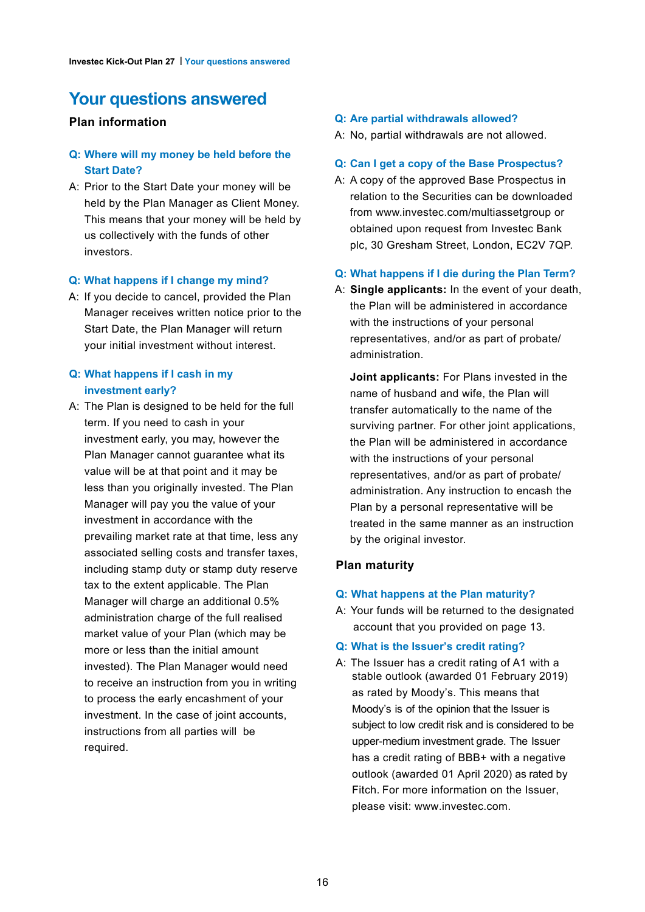## **Your questions answered**

#### **Plan information**

#### **Q: Where will my money be held before the Start Date?**

A: Prior to the Start Date your money will be held by the Plan Manager as Client Money. This means that your money will be held by us collectively with the funds of other investors.

#### **Q: What happens if I change my mind?**

A: If you decide to cancel, provided the Plan Manager receives written notice prior to the Start Date, the Plan Manager will return your initial investment without interest.

#### **Q: What happens if I cash in my investment early?**

A: The Plan is designed to be held for the full term. If you need to cash in your investment early, you may, however the Plan Manager cannot guarantee what its value will be at that point and it may be less than you originally invested. The Plan Manager will pay you the value of your investment in accordance with the prevailing market rate at that time, less any associated selling costs and transfer taxes, including stamp duty or stamp duty reserve tax to the extent applicable. The Plan Manager will charge an additional 0.5% administration charge of the full realised market value of your Plan (which may be more or less than the initial amount invested). The Plan Manager would need to receive an instruction from you in writing to process the early encashment of your investment. In the case of joint accounts, instructions from all parties will be required.

#### **Q: Are partial withdrawals allowed?**

A: No, partial withdrawals are not allowed.

#### **Q: Can I get a copy of the Base Prospectus?**

A: A copy of the approved Base Prospectus in relation to the Securities can be downloaded from www.investec.com/multiassetgroup or obtained upon request from Investec Bank plc, 30 Gresham Street, London, EC2V 7QP.

#### **Q: What happens if I die during the Plan Term?**

A: **Single applicants:** In the event of your death, the Plan will be administered in accordance with the instructions of your personal representatives, and/or as part of probate/ administration.

**Joint applicants:** For Plans invested in the name of husband and wife, the Plan will transfer automatically to the name of the surviving partner. For other joint applications, the Plan will be administered in accordance with the instructions of your personal representatives, and/or as part of probate/ administration. Any instruction to encash the Plan by a personal representative will be treated in the same manner as an instruction by the original investor.

#### **Plan maturity**

#### **Q: What happens at the Plan maturity?**

- A: Your funds will be returned to the designated account that you provided on page 13.
- **Q: What is the Issuer's credit rating?**
- A: The Issuer has a credit rating of A1 with a stable outlook (awarded 01 February 2019) as rated by Moody's. This means that Moody's is of the opinion that the Issuer is subject to low credit risk and is considered to be upper-medium investment grade. The Issuer has a credit rating of BBB+ with a negative outlook (awarded 01 April 2020) as rated by Fitch. For more information on the Issuer, please visit: www.investec.com.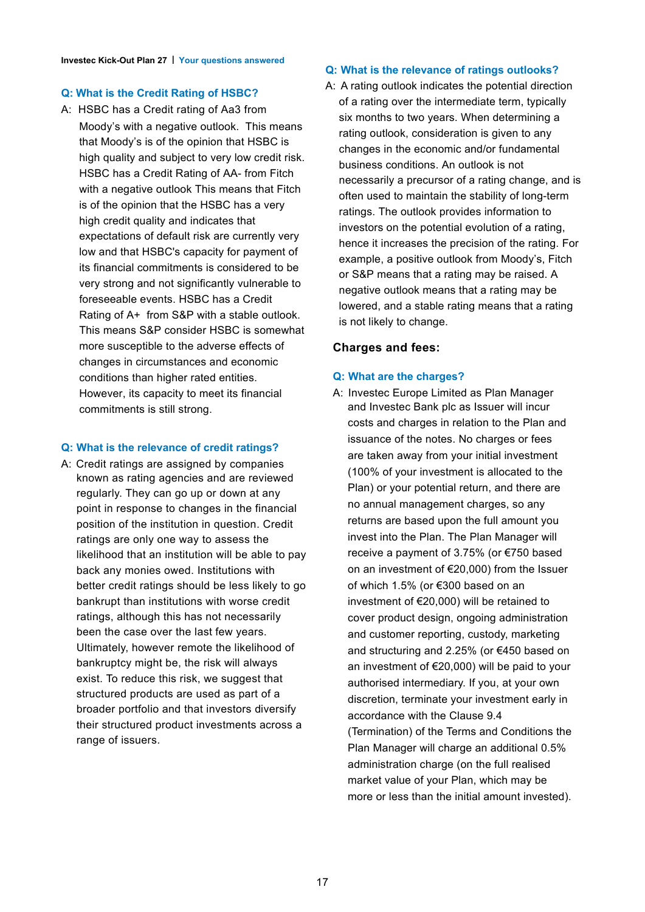#### **Q: What is the Credit Rating of HSBC?**

A: HSBC has a Credit rating of Aa3 from Moody's with a negative outlook. This means that Moody's is of the opinion that HSBC is high quality and subject to very low credit risk. HSBC has a Credit Rating of AA- from Fitch with a negative outlook This means that Fitch is of the opinion that the HSBC has a very high credit quality and indicates that expectations of default risk are currently very low and that HSBC's capacity for payment of its financial commitments is considered to be very strong and not significantly vulnerable to foreseeable events. HSBC has a Credit Rating of A+ from S&P with a stable outlook. This means S&P consider HSBC is somewhat more susceptible to the adverse effects of changes in circumstances and economic conditions than higher rated entities. However, its capacity to meet its financial commitments is still strong.

#### **Q: What is the relevance of credit ratings?**

A: Credit ratings are assigned by companies known as rating agencies and are reviewed regularly. They can go up or down at any point in response to changes in the financial position of the institution in question. Credit ratings are only one way to assess the likelihood that an institution will be able to pay back any monies owed. Institutions with better credit ratings should be less likely to go bankrupt than institutions with worse credit ratings, although this has not necessarily been the case over the last few years. Ultimately, however remote the likelihood of bankruptcy might be, the risk will always exist. To reduce this risk, we suggest that structured products are used as part of a broader portfolio and that investors diversify their structured product investments across a range of issuers.

#### **Q: What is the relevance of ratings outlooks?**

A: A rating outlook indicates the potential direction of a rating over the intermediate term, typically six months to two years. When determining a rating outlook, consideration is given to any changes in the economic and/or fundamental business conditions. An outlook is not necessarily a precursor of a rating change, and is often used to maintain the stability of long-term ratings. The outlook provides information to investors on the potential evolution of a rating, hence it increases the precision of the rating. For example, a positive outlook from Moody's, Fitch or S&P means that a rating may be raised. A negative outlook means that a rating may be lowered, and a stable rating means that a rating is not likely to change.

#### **Charges and fees:**

#### **Q: What are the charges?**

A: Investec Europe Limited as Plan Manager and Investec Bank plc as Issuer will incur costs and charges in relation to the Plan and issuance of the notes. No charges or fees are taken away from your initial investment (100% of your investment is allocated to the Plan) or your potential return, and there are no annual management charges, so any returns are based upon the full amount you invest into the Plan. The Plan Manager will receive a payment of 3.75% (or €750 based on an investment of €20,000) from the Issuer of which 1.5% (or €300 based on an investment of €20,000) will be retained to cover product design, ongoing administration and customer reporting, custody, marketing and structuring and 2.25% (or €450 based on an investment of €20,000) will be paid to your authorised intermediary. If you, at your own discretion, terminate your investment early in accordance with the Clause 9.4 (Termination) of the Terms and Conditions the Plan Manager will charge an additional 0.5% administration charge (on the full realised market value of your Plan, which may be more or less than the initial amount invested).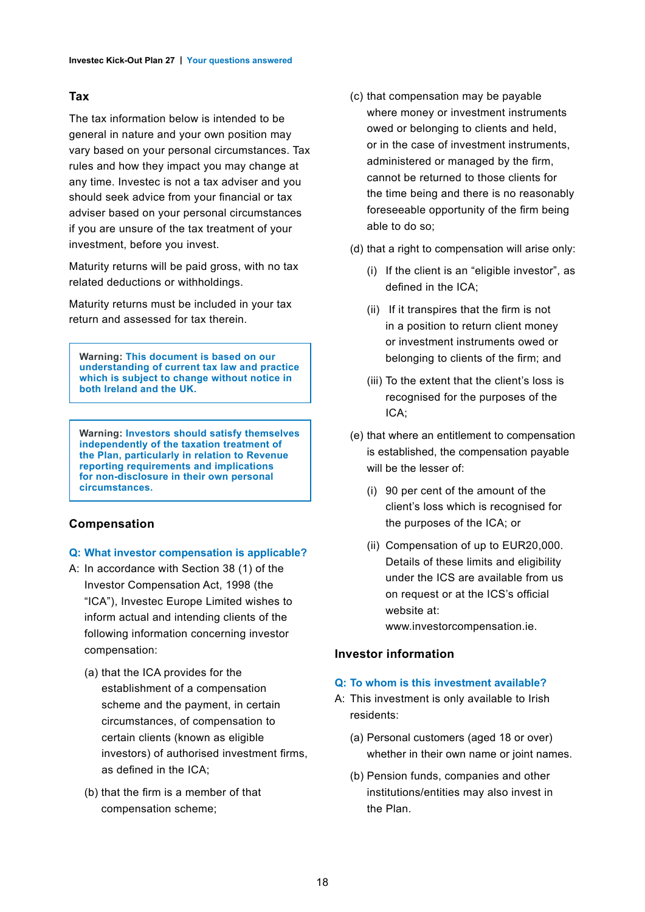#### **Tax**

The tax information below is intended to be general in nature and your own position may vary based on your personal circumstances. Tax rules and how they impact you may change at any time. Investec is not a tax adviser and you should seek advice from your financial or tax adviser based on your personal circumstances if you are unsure of the tax treatment of your investment, before you invest.

Maturity returns will be paid gross, with no tax related deductions or withholdings.

Maturity returns must be included in your tax return and assessed for tax therein.

**Warning: This document is based on our understanding of current tax law and practice which is subject to change without notice in both Ireland and the UK.**

**Warning: Investors should satisfy themselves independently of the taxation treatment of the Plan, particularly in relation to Revenue reporting requirements and implications for non-disclosure in their own personal circumstances.**

#### **Compensation**

#### **Q: What investor compensation is applicable?**

- A: In accordance with Section 38 (1) of the Investor Compensation Act, 1998 (the "ICA"), Investec Europe Limited wishes to inform actual and intending clients of the following information concerning investor compensation:
	- (a) that the ICA provides for the establishment of a compensation scheme and the payment, in certain circumstances, of compensation to certain clients (known as eligible investors) of authorised investment firms, as defined in the ICA;
	- (b) that the firm is a member of that compensation scheme;
- (c) that compensation may be payable where money or investment instruments owed or belonging to clients and held, or in the case of investment instruments, administered or managed by the firm, cannot be returned to those clients for the time being and there is no reasonably foreseeable opportunity of the firm being able to do so;
- (d) that a right to compensation will arise only:
	- (i) If the client is an "eligible investor", as defined in the ICA;
	- (ii) If it transpires that the firm is not in a position to return client money or investment instruments owed or belonging to clients of the firm; and
	- (iii) To the extent that the client's loss is recognised for the purposes of the ICA;
- (e) that where an entitlement to compensation is established, the compensation payable will be the lesser of:
	- (i) 90 per cent of the amount of the client's loss which is recognised for the purposes of the ICA; or
	- (ii) Compensation of up to EUR20,000. Details of these limits and eligibility under the ICS are available from us on request or at the ICS's official website at: www.investorcompensation.ie.

#### **Investor information**

#### **Q: To whom is this investment available?**

- A: This investment is only available to Irish residents:
	- (a) Personal customers (aged 18 or over) whether in their own name or joint names.
	- (b) Pension funds, companies and other institutions/entities may also invest in the Plan.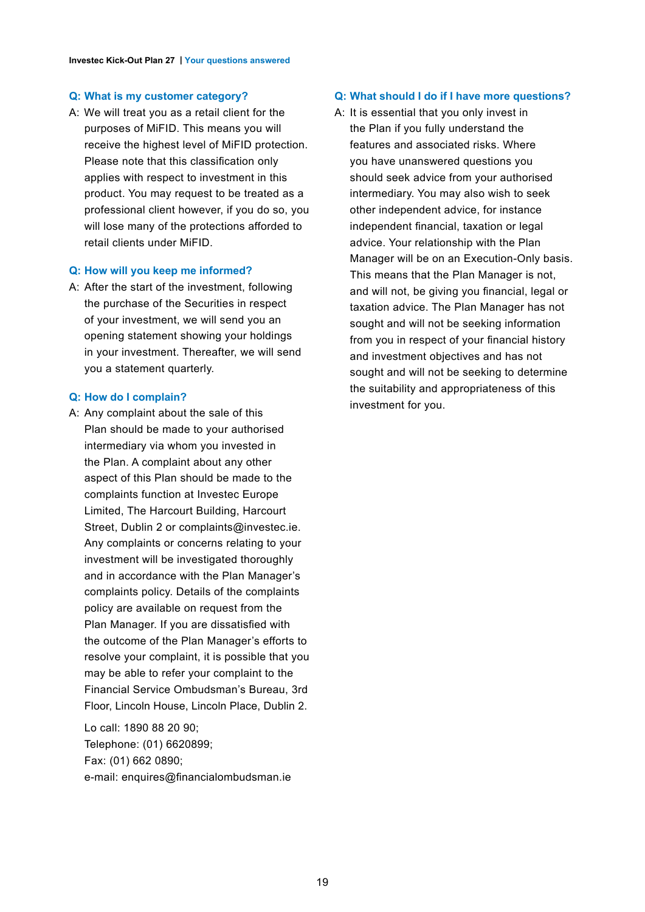#### **Q: What is my customer category?**

A: We will treat you as a retail client for the purposes of MiFID. This means you will receive the highest level of MiFID protection. Please note that this classification only applies with respect to investment in this product. You may request to be treated as a professional client however, if you do so, you will lose many of the protections afforded to retail clients under MiFID.

#### **Q: How will you keep me informed?**

A: After the start of the investment, following the purchase of the Securities in respect of your investment, we will send you an opening statement showing your holdings in your investment. Thereafter, we will send you a statement quarterly.

#### **Q: How do I complain?**

A: Any complaint about the sale of this Plan should be made to your authorised intermediary via whom you invested in the Plan. A complaint about any other aspect of this Plan should be made to the complaints function at Investec Europe Limited, The Harcourt Building, Harcourt Street, Dublin 2 or complaints@investec.ie. Any complaints or concerns relating to your investment will be investigated thoroughly and in accordance with the Plan Manager's complaints policy. Details of the complaints policy are available on request from the Plan Manager. If you are dissatisfied with the outcome of the Plan Manager's efforts to resolve your complaint, it is possible that you may be able to refer your complaint to the Financial Service Ombudsman's Bureau, 3rd Floor, Lincoln House, Lincoln Place, Dublin 2.

Lo call: 1890 88 20 90; Telephone: (01) 6620899; Fax: (01) 662 0890; e-mail: enquires@financialombudsman.ie

#### **Q: What should I do if I have more questions?**

A: It is essential that you only invest in the Plan if you fully understand the features and associated risks. Where you have unanswered questions you should seek advice from your authorised intermediary. You may also wish to seek other independent advice, for instance independent financial, taxation or legal advice. Your relationship with the Plan Manager will be on an Execution-Only basis. This means that the Plan Manager is not, and will not, be giving you financial, legal or taxation advice. The Plan Manager has not sought and will not be seeking information from you in respect of your financial history and investment objectives and has not sought and will not be seeking to determine the suitability and appropriateness of this investment for you.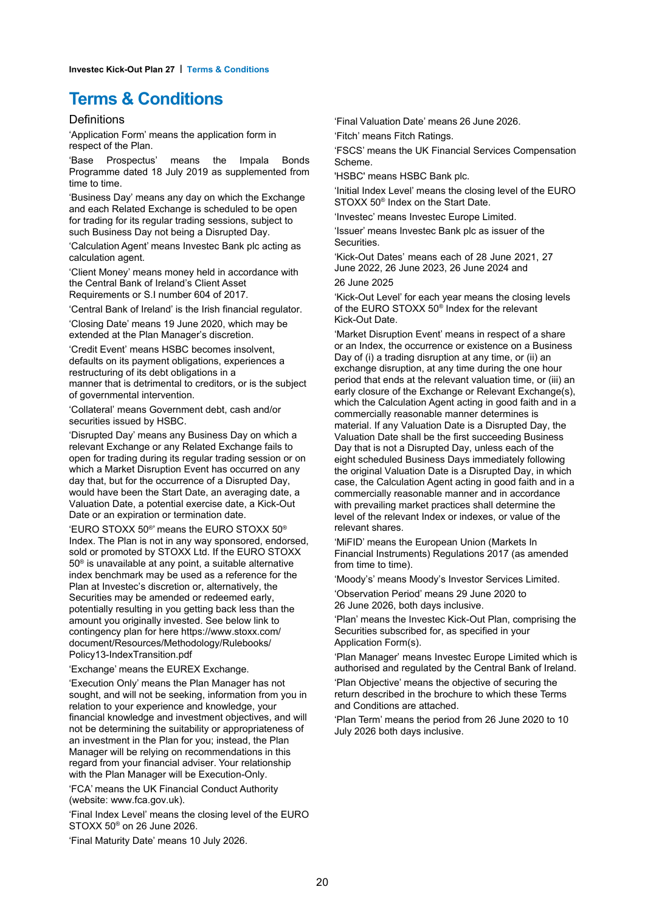## **Terms & Conditions**

#### Definitions

'Application Form' means the application form in respect of the Plan.

'Base Prospectus' means the Impala Bonds Programme dated 18 July 2019 as supplemented from time to time.

'Business Day' means any day on which the Exchange and each Related Exchange is scheduled to be open for trading for its regular trading sessions, subject to such Business Day not being a Disrupted Day.

'Calculation Agent' means Investec Bank plc acting as calculation agent.

'Client Money' means money held in accordance with the Central Bank of Ireland's Client Asset Requirements or S.I number 604 of 2017.

'Central Bank of Ireland' is the Irish financial regulator.

'Closing Date' means 19 June 2020, which may be extended at the Plan Manager's discretion.

'Credit Event' means HSBC becomes insolvent, defaults on its payment obligations, experiences a restructuring of its debt obligations in a manner that is detrimental to creditors, or is the subject of governmental intervention.

'Collateral' means Government debt, cash and/or securities issued by HSBC.

'Disrupted Day' means any Business Day on which a relevant Exchange or any Related Exchange fails to open for trading during its regular trading session or on which a Market Disruption Event has occurred on any day that, but for the occurrence of a Disrupted Day, would have been the Start Date, an averaging date, a Valuation Date, a potential exercise date, a Kick-Out Date or an expiration or termination date.

'EURO STOXX 50® ' means the EURO STOXX 50® Index. The Plan is not in any way sponsored, endorsed, sold or promoted by STOXX Ltd. If the EURO STOXX 50® is unavailable at any point, a suitable alternative index benchmark may be used as a reference for the Plan at Investec's discretion or, alternatively, the Securities may be amended or redeemed early, potentially resulting in you getting back less than the amount you originally invested. See below link to contingency plan for here https://www.stoxx.com/ document/Resources/Methodology/Rulebooks/ Policy13-IndexTransition.pdf

'Exchange' means the EUREX Exchange.

'Execution Only' means the Plan Manager has not sought, and will not be seeking, information from you in relation to your experience and knowledge, your financial knowledge and investment objectives, and will not be determining the suitability or appropriateness of an investment in the Plan for you; instead, the Plan Manager will be relying on recommendations in this regard from your financial adviser. Your relationship with the Plan Manager will be Execution-Only.

'FCA' means the UK Financial Conduct Authority (website: www.fca.gov.uk).

'Final Index Level' means the closing level of the EURO STOXX 50® on 26 June 2026.

'Final Maturity Date' means 10 July 2026.

'Final Valuation Date' means 26 June 2026.

'Fitch' means Fitch Ratings.

'FSCS' means the UK Financial Services Compensation Scheme.

'HSBC' means HSBC Bank plc.

'Initial Index Level' means the closing level of the EURO STOXX 50® Index on the Start Date.

'Investec' means Investec Europe Limited.

'Issuer' means Investec Bank plc as issuer of the **Securities** 

'Kick-Out Dates' means each of 28 June 2021, 27 June 2022, 26 June 2023, 26 June 2024 and 26 June 2025

'Kick-Out Level' for each year means the closing levels of the EURO STOXX 50® Index for the relevant Kick-Out Date.

'Market Disruption Event' means in respect of a share or an Index, the occurrence or existence on a Business Day of (i) a trading disruption at any time, or (ii) an exchange disruption, at any time during the one hour period that ends at the relevant valuation time, or (iii) an early closure of the Exchange or Relevant Exchange(s), which the Calculation Agent acting in good faith and in a commercially reasonable manner determines is material. If any Valuation Date is a Disrupted Day, the Valuation Date shall be the first succeeding Business Day that is not a Disrupted Day, unless each of the eight scheduled Business Days immediately following the original Valuation Date is a Disrupted Day, in which case, the Calculation Agent acting in good faith and in a commercially reasonable manner and in accordance with prevailing market practices shall determine the level of the relevant Index or indexes, or value of the relevant shares.

'MiFID' means the European Union (Markets In Financial Instruments) Regulations 2017 (as amended from time to time).

'Moody's' means Moody's Investor Services Limited.

'Observation Period' means 29 June 2020 to 26 June 2026, both days inclusive.

'Plan' means the Investec Kick-Out Plan, comprising the Securities subscribed for, as specified in your Application Form(s).

'Plan Manager' means Investec Europe Limited which is authorised and regulated by the Central Bank of Ireland.

'Plan Objective' means the objective of securing the return described in the brochure to which these Terms and Conditions are attached.

'Plan Term' means the period from 26 June 2020 to 10 July 2026 both days inclusive.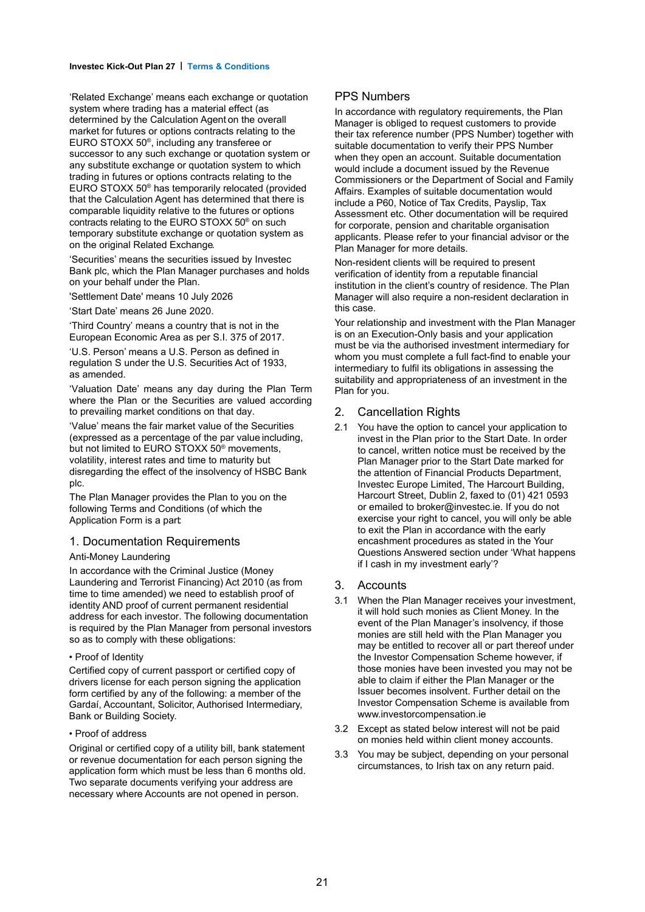#### **Investec Kick-Out Plan 27 | Terms & Conditions**

'Related Exchange' means each exchange or quotation system where trading has a material effect (as determined by the Calculation Agent on the overall market for futures or options contracts relating to the EURO STOXX 50® , including any transferee or successor to any such exchange or quotation system or any substitute exchange or quotation system to which trading in futures or options contracts relating to the EURO STOXX 50® has temporarily relocated (provided that the Calculation Agent has determined that there is comparable liquidity relative to the futures or options contracts relating to the EURO STOXX 50® on such temporary substitute exchange or quotation system as on the original Related Exchange.

'Securities' means the securities issued by Investec Bank plc, which the Plan Manager purchases and holds on your behalf under the Plan.

'Settlement Date' means 10 July 2026

'Start Date' means 26 June 2020.

'Third Country' means a country that is not in the European Economic Area as per S.I. 375 of 2017.

'U.S. Person' means a U.S. Person as defined in regulation S under the U.S. Securities Act of 1933, as amended.

'Valuation Date' means any day during the Plan Term where the Plan or the Securities are valued according to prevailing market conditions on that day.

'Value' means the fair market value of the Securities (expressed as a percentage of the par value including, but not limited to EURO STOXX 50® movements, volatility, interest rates and time to maturity but disregarding the effect of the insolvency of HSBC Bank plc.

The Plan Manager provides the Plan to you on the following Terms and Conditions (of which the Application Form is a part:

#### 1. Documentation Requirements

#### Anti-Money Laundering

In accordance with the Criminal Justice (Money Laundering and Terrorist Financing) Act 2010 (as from time to time amended) we need to establish proof of identity AND proof of current permanent residential address for each investor. The following documentation is required by the Plan Manager from personal investors so as to comply with these obligations:

#### • Proof of Identity

Certified copy of current passport or certified copy of drivers license for each person signing the application form certified by any of the following: a member of the Gardaí, Accountant, Solicitor, Authorised Intermediary, Bank or Building Society.

#### • Proof of address

Original or certified copy of a utility bill, bank statement or revenue documentation for each person signing the application form which must be less than 6 months old. Two separate documents verifying your address are necessary where Accounts are not opened in person.

#### PPS Numbers

In accordance with regulatory requirements, the Plan Manager is obliged to request customers to provide their tax reference number (PPS Number) together with suitable documentation to verify their PPS Number when they open an account. Suitable documentation would include a document issued by the Revenue Commissioners or the Department of Social and Family Affairs. Examples of suitable documentation would include a P60, Notice of Tax Credits, Payslip, Tax Assessment etc. Other documentation will be required for corporate, pension and charitable organisation applicants. Please refer to your financial advisor or the Plan Manager for more details.

Non-resident clients will be required to present verification of identity from a reputable financial institution in the client's country of residence. The Plan Manager will also require a non-resident declaration in this case.

Your relationship and investment with the Plan Manager is on an Execution-Only basis and your application must be via the authorised investment intermediary for whom you must complete a full fact-find to enable your intermediary to fulfil its obligations in assessing the suitability and appropriateness of an investment in the Plan for you.

#### 2. Cancellation Rights

2.1 You have the option to cancel your application to invest in the Plan prior to the Start Date. In order to cancel, written notice must be received by the Plan Manager prior to the Start Date marked for the attention of Financial Products Department, Investec Europe Limited, The Harcourt Building, Harcourt Street, Dublin 2, faxed to (01) 421 0593 or emailed to broker@investec.ie. If you do not exercise your right to cancel, you will only be able to exit the Plan in accordance with the early encashment procedures as stated in the Your Questions Answered section under 'What happens if I cash in my investment early'?

#### 3. Accounts

- 3.1 When the Plan Manager receives your investment, it will hold such monies as Client Money. In the event of the Plan Manager's insolvency, if those monies are still held with the Plan Manager you may be entitled to recover all or part thereof under the Investor Compensation Scheme however, if those monies have been invested you may not be able to claim if either the Plan Manager or the Issuer becomes insolvent. Further detail on the Investor Compensation Scheme is available from www.investorcompensation.ie
- 3.2 Except as stated below interest will not be paid on monies held within client money accounts.
- 3.3 You may be subject, depending on your personal circumstances, to Irish tax on any return paid.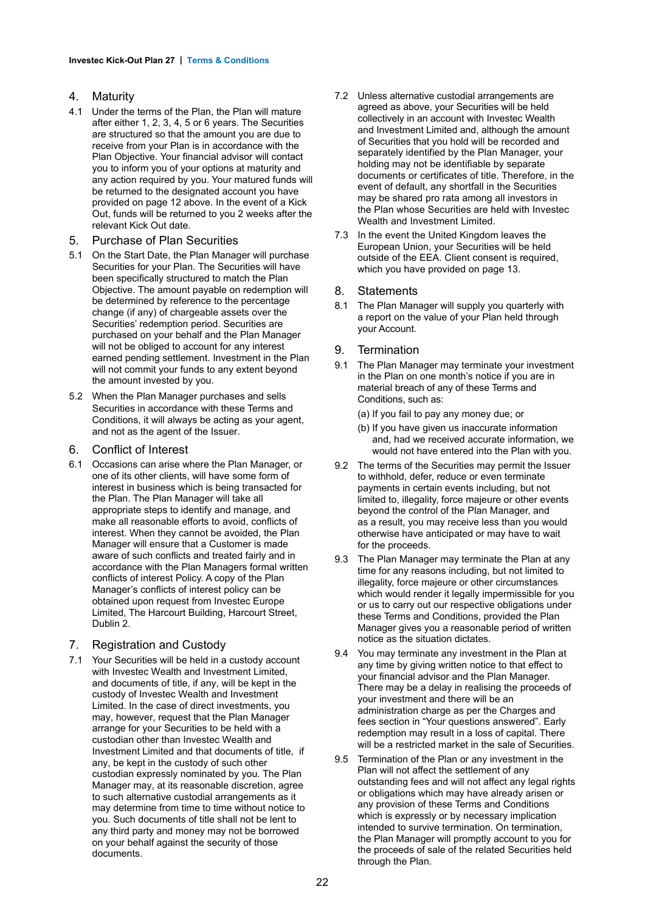#### 4. Maturity

- 4.1 Under the terms of the Plan, the Plan will mature after either 1, 2, 3, 4, 5 or 6 years. The Securities are structured so that the amount you are due to receive from your Plan is in accordance with the Plan Objective. Your financial advisor will contact you to inform you of your options at maturity and any action required by you. Your matured funds will be returned to the designated account you have provided on page 12 above. In the event of a Kick Out, funds will be returned to you 2 weeks after the relevant Kick Out date.
- 5. Purchase of Plan Securities
- 5.1 On the Start Date, the Plan Manager will purchase Securities for your Plan. The Securities will have been specifically structured to match the Plan Objective. The amount payable on redemption will be determined by reference to the percentage change (if any) of chargeable assets over the Securities' redemption period. Securities are purchased on your behalf and the Plan Manager will not be obliged to account for any interest earned pending settlement. Investment in the Plan will not commit your funds to any extent beyond the amount invested by you.
- 5.2 When the Plan Manager purchases and sells Securities in accordance with these Terms and Conditions, it will always be acting as your agent, and not as the agent of the Issuer.
- 6. Conflict of Interest
- 6.1 Occasions can arise where the Plan Manager, or one of its other clients, will have some form of interest in business which is being transacted for the Plan. The Plan Manager will take all appropriate steps to identify and manage, and make all reasonable efforts to avoid, conflicts of interest. When they cannot be avoided, the Plan Manager will ensure that a Customer is made aware of such conflicts and treated fairly and in accordance with the Plan Managers formal written conflicts of interest Policy. A copy of the Plan Manager's conflicts of interest policy can be obtained upon request from Investec Europe Limited, The Harcourt Building, Harcourt Street, Dublin 2.

#### 7. Registration and Custody

7.1 Your Securities will be held in a custody account with Investec Wealth and Investment Limited. and documents of title, if any, will be kept in the custody of Investec Wealth and Investment Limited. In the case of direct investments, you may, however, request that the Plan Manager arrange for your Securities to be held with a custodian other than Investec Wealth and Investment Limited and that documents of title, if any, be kept in the custody of such other custodian expressly nominated by you. The Plan Manager may, at its reasonable discretion, agree to such alternative custodial arrangements as it may determine from time to time without notice to you. Such documents of title shall not be lent to any third party and money may not be borrowed on your behalf against the security of those documents.

- 7.2 Unless alternative custodial arrangements are agreed as above, your Securities will be held collectively in an account with Investec Wealth and Investment Limited and, although the amount of Securities that you hold will be recorded and separately identified by the Plan Manager, your holding may not be identifiable by separate documents or certificates of title. Therefore, in the event of default, any shortfall in the Securities may be shared pro rata among all investors in the Plan whose Securities are held with Investec Wealth and Investment Limited.
- 7.3 In the event the United Kingdom leaves the European Union, your Securities will be held outside of the EEA. Client consent is required, which you have provided on page 13.

#### 8. Statements

8.1 The Plan Manager will supply you quarterly with a report on the value of your Plan held through your Account.

#### 9. Termination

- 9.1 The Plan Manager may terminate your investment in the Plan on one month's notice if you are in material breach of any of these Terms and Conditions, such as:
	- (a) If you fail to pay any money due; or
	- (b) If you have given us inaccurate information and, had we received accurate information, we would not have entered into the Plan with you.
- 9.2 The terms of the Securities may permit the Issuer to withhold, defer, reduce or even terminate payments in certain events including, but not limited to, illegality, force majeure or other events beyond the control of the Plan Manager, and as a result, you may receive less than you would otherwise have anticipated or may have to wait for the proceeds.
- 9.3 The Plan Manager may terminate the Plan at any time for any reasons including, but not limited to illegality, force majeure or other circumstances which would render it legally impermissible for you or us to carry out our respective obligations under these Terms and Conditions, provided the Plan Manager gives you a reasonable period of written notice as the situation dictates.
- 9.4 You may terminate any investment in the Plan at any time by giving written notice to that effect to your financial advisor and the Plan Manager. There may be a delay in realising the proceeds of your investment and there will be an administration charge as per the Charges and fees section in "Your questions answered". Early redemption may result in a loss of capital. There will be a restricted market in the sale of Securities.
- 9.5 Termination of the Plan or any investment in the Plan will not affect the settlement of any outstanding fees and will not affect any legal rights or obligations which may have already arisen or any provision of these Terms and Conditions which is expressly or by necessary implication intended to survive termination. On termination, the Plan Manager will promptly account to you for the proceeds of sale of the related Securities held through the Plan.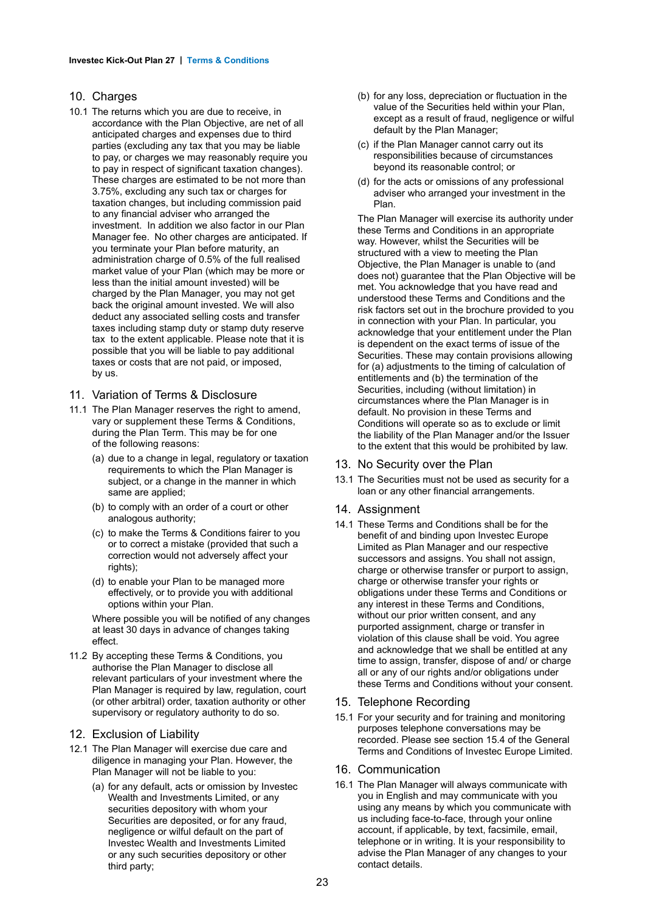#### 10. Charges

- 10.1 The returns which you are due to receive, in accordance with the Plan Objective, are net of all anticipated charges and expenses due to third parties (excluding any tax that you may be liable to pay, or charges we may reasonably require you to pay in respect of significant taxation changes). These charges are estimated to be not more than 3.75%, excluding any such tax or charges for taxation changes, but including commission paid to any financial adviser who arranged the investment. In addition we also factor in our Plan Manager fee. No other charges are anticipated. If you terminate your Plan before maturity, an administration charge of 0.5% of the full realised market value of your Plan (which may be more or less than the initial amount invested) will be charged by the Plan Manager, you may not get back the original amount invested. We will also deduct any associated selling costs and transfer taxes including stamp duty or stamp duty reserve tax to the extent applicable. Please note that it is possible that you will be liable to pay additional taxes or costs that are not paid, or imposed, by us.
- 11. Variation of Terms & Disclosure
- 11.1 The Plan Manager reserves the right to amend, vary or supplement these Terms & Conditions, during the Plan Term. This may be for one of the following reasons:
	- (a) due to a change in legal, regulatory or taxation requirements to which the Plan Manager is subject, or a change in the manner in which same are applied;
	- (b) to comply with an order of a court or other analogous authority;
	- (c) to make the Terms & Conditions fairer to you or to correct a mistake (provided that such a correction would not adversely affect your rights):
	- (d) to enable your Plan to be managed more effectively, or to provide you with additional options within your Plan.

Where possible you will be notified of any changes at least 30 days in advance of changes taking effect.

11.2 By accepting these Terms & Conditions, you authorise the Plan Manager to disclose all relevant particulars of your investment where the Plan Manager is required by law, regulation, court (or other arbitral) order, taxation authority or other supervisory or regulatory authority to do so.

#### 12. Exclusion of Liability

- 12.1 The Plan Manager will exercise due care and diligence in managing your Plan. However, the Plan Manager will not be liable to you:
	- (a) for any default, acts or omission by Investec Wealth and Investments Limited, or any securities depository with whom your Securities are deposited, or for any fraud, negligence or wilful default on the part of Investec Wealth and Investments Limited or any such securities depository or other third party;
- (b) for any loss, depreciation or fluctuation in the value of the Securities held within your Plan, except as a result of fraud, negligence or wilful default by the Plan Manager;
- (c) if the Plan Manager cannot carry out its responsibilities because of circumstances beyond its reasonable control; or
- (d) for the acts or omissions of any professional adviser who arranged your investment in the Plan.

The Plan Manager will exercise its authority under these Terms and Conditions in an appropriate way. However, whilst the Securities will be structured with a view to meeting the Plan Objective, the Plan Manager is unable to (and does not) guarantee that the Plan Objective will be met. You acknowledge that you have read and understood these Terms and Conditions and the risk factors set out in the brochure provided to you in connection with your Plan. In particular, you acknowledge that your entitlement under the Plan is dependent on the exact terms of issue of the Securities. These may contain provisions allowing for (a) adjustments to the timing of calculation of entitlements and (b) the termination of the Securities, including (without limitation) in circumstances where the Plan Manager is in default. No provision in these Terms and Conditions will operate so as to exclude or limit the liability of the Plan Manager and/or the Issuer to the extent that this would be prohibited by law.

#### 13. No Security over the Plan

13.1 The Securities must not be used as security for a loan or any other financial arrangements.

#### 14. Assignment

14.1 These Terms and Conditions shall be for the benefit of and binding upon Investec Europe Limited as Plan Manager and our respective successors and assigns. You shall not assign, charge or otherwise transfer or purport to assign, charge or otherwise transfer your rights or obligations under these Terms and Conditions or any interest in these Terms and Conditions, without our prior written consent, and any purported assignment, charge or transfer in violation of this clause shall be void. You agree and acknowledge that we shall be entitled at any time to assign, transfer, dispose of and/ or charge all or any of our rights and/or obligations under these Terms and Conditions without your consent.

#### 15. Telephone Recording

- 15.1 For your security and for training and monitoring purposes telephone conversations may be recorded. Please see section 15.4 of the General Terms and Conditions of Investec Europe Limited.
- 16. Communication
- 16.1 The Plan Manager will always communicate with you in English and may communicate with you using any means by which you communicate with us including face-to-face, through your online account, if applicable, by text, facsimile, email, telephone or in writing. It is your responsibility to advise the Plan Manager of any changes to your contact details.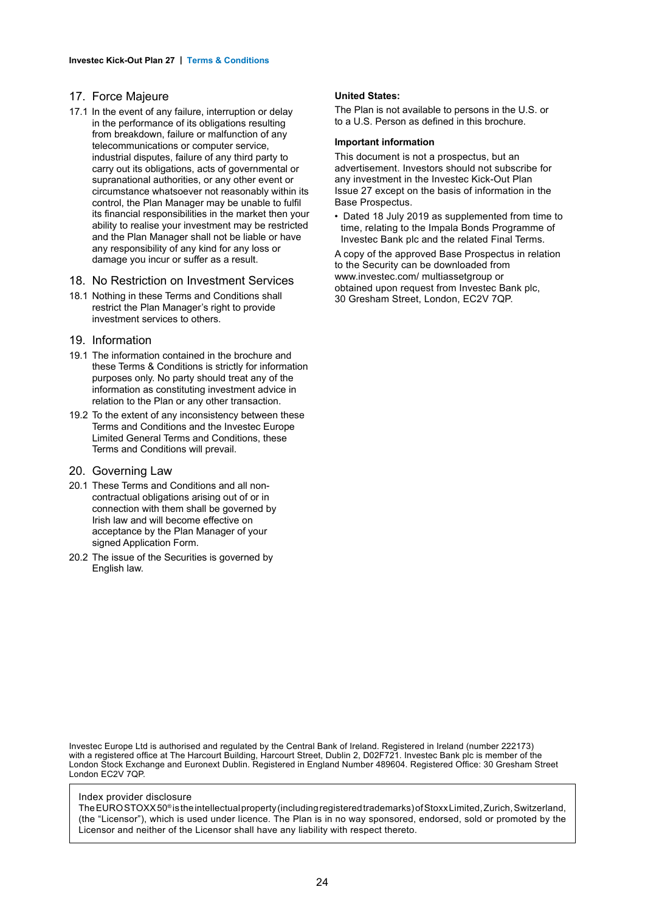#### 17. Force Majeure

in the performance of its obligations resulting from breakdown, failure or malfunction of any telecommunications or computer service, industrial disputes, failure of any third party to carry out its obligations, acts of governmental or supranational authorities, or any other event or circumstance whatsoever not reasonably within its control, the Plan Manager may be unable to fulfil its financial responsibilities in the market then your ability to realise your investment may be restricted and the Plan Manager shall not be liable or have any responsibility of any kind for any loss or damage you incur or suffer as a result. 17.1 In the event of any failure, interruption or delay

#### 18. No Restriction on Investment Services

- 18.1 Nothing in these Terms and Conditions shall restrict the Plan Manager's right to provide investment services to others.
- 19. Information
- 19.1 The information contained in the brochure and these Terms & Conditions is strictly for information purposes only. No party should treat any of the information as constituting investment advice in relation to the Plan or any other transaction.
- 19.2 To the extent of any inconsistency between these Terms and Conditions and the Investec Europe Limited General Terms and Conditions, these Terms and Conditions will prevail.

#### 20. Governing Law

- 20.1 These Terms and Conditions and all noncontractual obligations arising out of or in connection with them shall be governed by Irish law and will become effective on acceptance by the Plan Manager of your signed Application Form.
- 20.2 The issue of the Securities is governed by English law.

#### **United States:**

The Plan is not available to persons in the U.S. or to a U.S. Person as defined in this brochure.

#### **Important information**

This document is not a prospectus, but an advertisement. Investors should not subscribe for any investment in the Investec Kick-Out Plan Issue 27 except on the basis of information in the Base Prospectus.

• Dated 18 July 2019 as supplemented from time to time, relating to the Impala Bonds Programme of Investec Bank plc and the related Final Terms.

A copy of the approved Base Prospectus in relation to the Security can be downloaded from www.investec.com/ multiassetgroup or obtained upon request from Investec Bank plc, 30 Gresham Street, London, EC2V 7QP.

Investec Europe Ltd is authorised and regulated by the Central Bank of Ireland. Registered in Ireland (number 222173) with a registered office at The Harcourt Building, Harcourt Street, Dublin 2, D02F721. Investec Bank plc is member of the London Stock Exchange and Euronext Dublin. Registered in England Number 489604. Registered Office: 30 Gresham Street London EC2V 7QP.

#### Index provider disclosure

The EURO STOXX 50® is the intellectual property (including registered trademarks) of Stoxx Limited, Zurich, Switzerland, (the "Licensor"), which is used under licence. The Plan is in no way sponsored, endorsed, sold or promoted by the Licensor and neither of the Licensor shall have any liability with respect thereto.